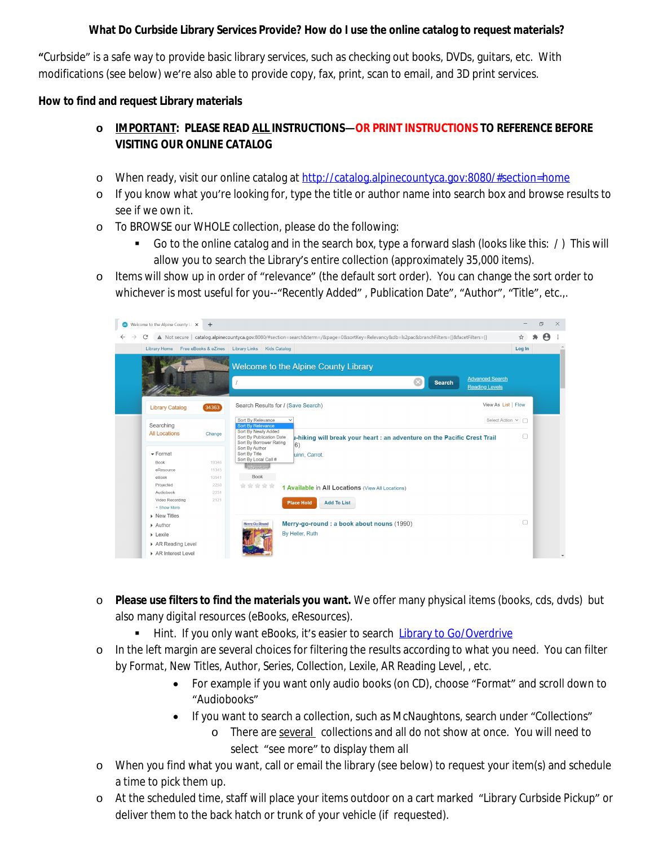## **What Do Curbside Library Services Provide? How do I use the online catalog to request materials?**

**"**Curbside" is a safe way to provide basic library services, such as checking out books, DVDs, guitars, etc. With modifications (see below) we're also able to provide copy, fax, print, scan to email, and 3D print services.

#### **How to find and request Library materials**

# **o IMPORTANT: PLEASE READ ALL INSTRUCTIONS—OR PRINT INSTRUCTIONS TO REFERENCE BEFORE VISITING OUR ONLINE CATALOG**

- o When ready, visit our online catalog at <http://catalog.alpinecountyca.gov:8080/#section=home>
- o If you know what you're looking for, type the title or author name into search box and browse results to see if we own it.
- o To BROWSE our WHOLE collection, please do the following:
	- Go to the online catalog and in the search box, type a forward slash (looks like this: / ) This will allow you to search the Library's entire collection (approximately 35,000 items).
- o Items will show up in order of "relevance" (the default sort order). You can change the sort order to whichever is most useful for you--"Recently Added", Publication Date", "Author", "Title", etc.,.



- o **Please use filters to find the materials you want.** We offer many *physical* items (books, cds, dvds) but also many *digital* resources (eBooks, eResources).
	- **Hint.** If you only want eBooks, it's easier to search [Library to Go/Overdrive](https://northnet.overdrive.com/northnet-alpine/content)
- o In the left margin are several choices for filtering the results according to what you need. You can filter by *Format, New Titles, Author, Series, Collection, Lexile, AR Reading Level*, , etc.
	- For example if you want only audio books (on CD), choose "Format" and scroll down to "Audiobooks"
	- If you want to search a collection, such as McNaughtons, search under "Collections"
		- o There are several collections and all do not show at once. You will need to select "see more" to display them all
- o When you find what you want, call or email the library (see below) to request your item(s) and schedule a time to pick them up.
- o At the scheduled time, staff will place your items outdoor on a cart marked "Library Curbside Pickup" or deliver them to the back hatch or trunk of your vehicle (if requested).